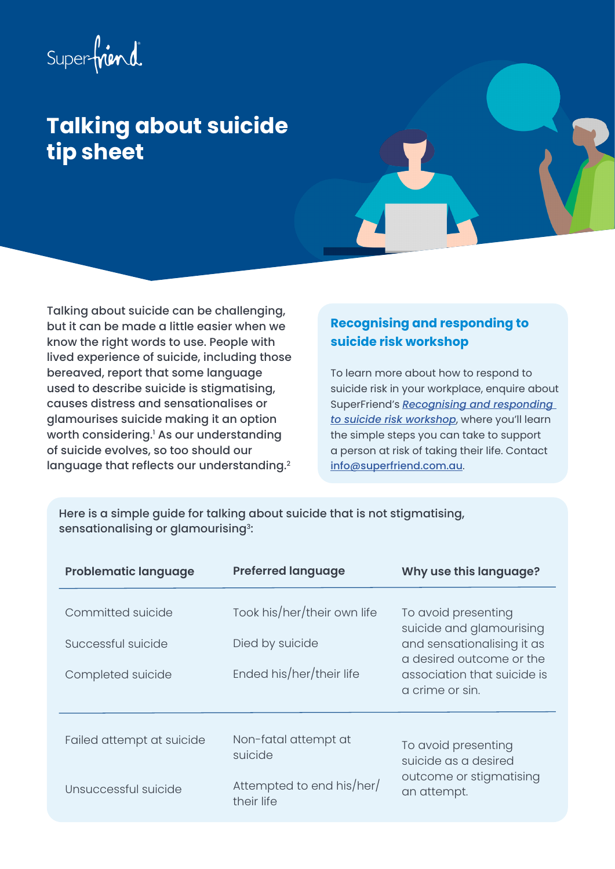# <span id="page-0-0"></span>Superfriend

## **Talking about suicide tip sheet**

Talking about suicide can be challenging, but it can be made a little easier when we know the right words to use. People with lived experience of suicide, including those bereaved, report that some language used to describe suicide is stigmatising, causes distress and sensationalises or glamourises suicide making it an option worth considering.[1](#page-1-0) As our understanding of suicide evolves, so too should our language that reflects our understanding.<sup>[2](#page-1-0)</sup>

### **Recognising and responding to suicide risk workshop**

To learn more about how to respond to suicide risk in your workplace, enquire about SuperFriend's *[Recognising and responding](https://superfriend.com.au/solutions/workplace-training/recognising-and-responding-to-suicide-risk-for-all-staff-workshop/)  [to suicide risk workshop](https://superfriend.com.au/solutions/workplace-training/recognising-and-responding-to-suicide-risk-for-all-staff-workshop/)*, where you'll learn the simple steps you can take to support a person at risk of taking their life. Contact [info@superfriend.com.au](mailto:info%40superfriend.com.au?subject=).

Here is a simple guide for talking about suicide that is not stigmatising, sensationalising or glamourising<sup>3</sup>:

| <b>Problematic language</b> | <b>Preferred language</b>               | Why use this language?                                                                |
|-----------------------------|-----------------------------------------|---------------------------------------------------------------------------------------|
| Committed suicide           | Took his/her/their own life             | To avoid presenting<br>suicide and glamourising                                       |
| Successful suicide          | Died by suicide                         | and sensationalising it as<br>a desired outcome or the                                |
| Completed suicide           | Ended his/her/their life                | association that suicide is<br>a crime or sin.                                        |
| Failed attempt at suicide   | Non-fatal attempt at<br>suicide         | To avoid presenting<br>suicide as a desired<br>outcome or stigmatising<br>an attempt. |
| Unsuccessful suicide        | Attempted to end his/her/<br>their life |                                                                                       |